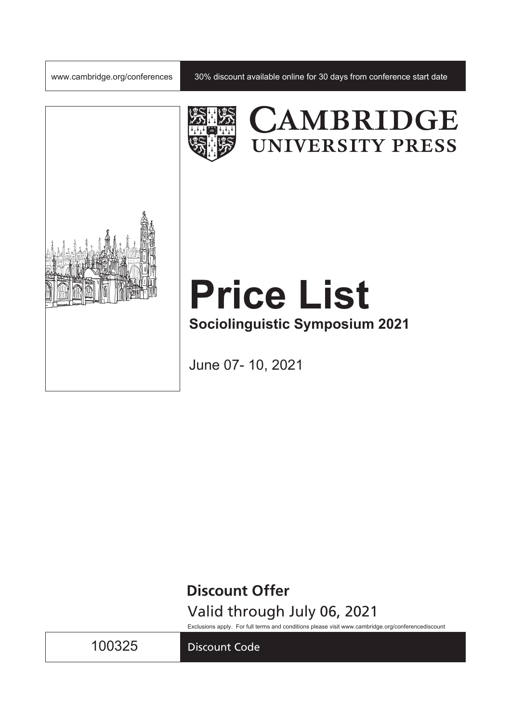

www.cambridge.org/conferences | 30% discount available online for 30 days from conference start date



# CAMBRIDGE **UNIVERSITY PRESS**

# **Price List Sociolinguistic Symposium 2021**

June 07- 10, 2021

**Discount Offer**

Valid through July 06, 2021

Exclusions apply. For full terms and conditions please visit www.cambridge.org/conferencediscount

100325

Discount Code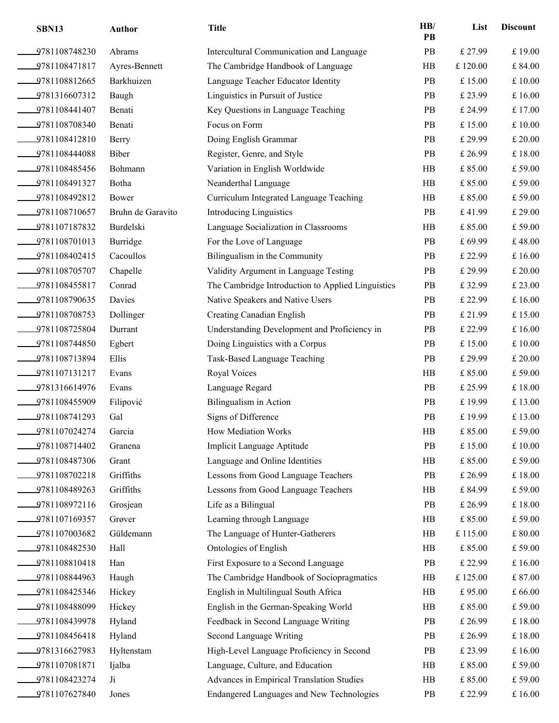| SBN13         | <b>Author</b>     | <b>Title</b>                                      | HB/<br>PB | List    | <b>Discount</b> |
|---------------|-------------------|---------------------------------------------------|-----------|---------|-----------------|
| 9781108748230 | Abrams            | Intercultural Communication and Language          | PB        | £ 27.99 | £19.00          |
| 9781108471817 | Ayres-Bennett     | The Cambridge Handbook of Language                | HB        | £120.00 | $\pounds$ 84.00 |
| 9781108812665 | Barkhuizen        | Language Teacher Educator Identity                | PB        | £15.00  | £ 10.00         |
| 9781316607312 | Baugh             | Linguistics in Pursuit of Justice                 | PB        | £ 23.99 | £16.00          |
| 9781108441407 | Benati            | Key Questions in Language Teaching                | PB        | £ 24.99 | £17.00          |
| 9781108708340 | Benati            | Focus on Form                                     | PB        | £15.00  | £ 10.00         |
| 9781108412810 | Berry             | Doing English Grammar                             | PB        | £ 29.99 | £ 20.00         |
| 9781108444088 | Biber             | Register, Genre, and Style                        | PB        | £ 26.99 | £18.00          |
| 9781108485456 | Bohmann           | Variation in English Worldwide                    | HB        | £85.00  | £59.00          |
| 9781108491327 | Botha             | Neanderthal Language                              | HB        | £85.00  | £59.00          |
| 9781108492812 | Bower             | Curriculum Integrated Language Teaching           | HB        | £85.00  | £59.00          |
| 9781108710657 | Bruhn de Garavito | <b>Introducing Linguistics</b>                    | PB        | £41.99  | £ 29.00         |
| 9781107187832 | Burdelski         | Language Socialization in Classrooms              | HB        | £85.00  | £59.00          |
| 9781108701013 | Burridge          | For the Love of Language                          | PB        | £69.99  | £48.00          |
| 9781108402415 | Cacoullos         | Bilingualism in the Community                     | PB        | £ 22.99 | £16.00          |
| 9781108705707 | Chapelle          | Validity Argument in Language Testing             | PB        | £ 29.99 | £ 20.00         |
| 9781108455817 | Conrad            | The Cambridge Introduction to Applied Linguistics | PB        | £32.99  | £ 23.00         |
| 9781108790635 | Davies            | Native Speakers and Native Users                  | PB        | £ 22.99 | £16.00          |
| 9781108708753 | Dollinger         | <b>Creating Canadian English</b>                  | PB        | £ 21.99 | £15.00          |
| 9781108725804 | Durrant           | Understanding Development and Proficiency in      | PB        | £ 22.99 | £16.00          |
| 9781108744850 | Egbert            | Doing Linguistics with a Corpus                   | PB        | £15.00  | £ 10.00         |
| 9781108713894 | Ellis             | Task-Based Language Teaching                      | PB        | £ 29.99 | £ 20.00         |
| 9781107131217 | Evans             | Royal Voices                                      | HB        | £85.00  | £59.00          |
| 9781316614976 | Evans             | Language Regard                                   | PB        | £ 25.99 | £18.00          |
| 9781108455909 | Filipović         | Bilingualism in Action                            | PB        | £19.99  | £ 13.00         |
| 9781108741293 | Gal               | Signs of Difference                               | PB        | £19.99  | £13.00          |
| 9781107024274 | Garcia            | How Mediation Works                               | HB        | £85.00  | £59.00          |
| 9781108714402 | Granena           | Implicit Language Aptitude                        | PB        | £15.00  | £ 10.00         |
| 9781108487306 | Grant             | Language and Online Identities                    | HB        | £85.00  | £59.00          |
| 9781108702218 | Griffiths         | Lessons from Good Language Teachers               | PB        | £ 26.99 | $\pounds$ 18.00 |
| 9781108489263 | Griffiths         | Lessons from Good Language Teachers               | HB        | £84.99  | £59.00          |
| 9781108972116 | Grosjean          | Life as a Bilingual                               | PB        | £ 26.99 | £18.00          |
| 9781107169357 | Grøver            | Learning through Language                         | HB        | £85.00  | £ 59.00         |
| 9781107003682 | Güldemann         | The Language of Hunter-Gatherers                  | HB        | £115.00 | $\pounds 80.00$ |
| 9781108482530 | Hall              | Ontologies of English                             | HB        | £85.00  | £59.00          |
| 9781108810418 | Han               | First Exposure to a Second Language               | PB        | £ 22.99 | £ 16.00         |
| 9781108844963 | Haugh             | The Cambridge Handbook of Sociopragmatics         | HB        | £125.00 | £87.00          |
| 9781108425346 | Hickey            | English in Multilingual South Africa              | HB        | £95.00  | £66.00          |
| 9781108488099 | Hickey            | English in the German-Speaking World              | HB        | £85.00  | £ 59.00         |
| 9781108439978 | Hyland            | Feedback in Second Language Writing               | PB        | £ 26.99 | £18.00          |
| 9781108456418 | Hyland            | Second Language Writing                           | PB        | £ 26.99 | £18.00          |
| 9781316627983 | Hyltenstam        | High-Level Language Proficiency in Second         | PB        | £ 23.99 | £ 16.00         |
| 9781107081871 | Ijalba            | Language, Culture, and Education                  | HB        | £85.00  | £59.00          |
| 9781108423274 | Ji                | Advances in Empirical Translation Studies         | HB        | £85.00  | £59.00          |
| 9781107627840 | Jones             | Endangered Languages and New Technologies         | PB        | £ 22.99 | £ 16.00         |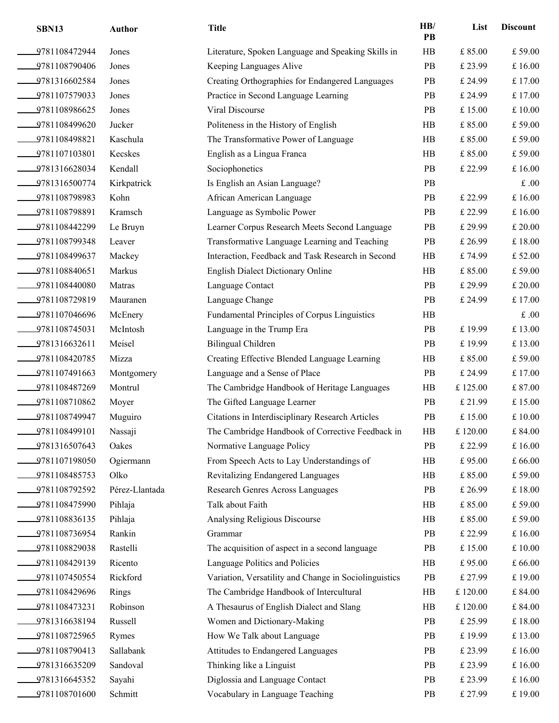| SBN13            | Author         | <b>Title</b>                                          | HB/<br>PB | List             | <b>Discount</b> |
|------------------|----------------|-------------------------------------------------------|-----------|------------------|-----------------|
| 9781108472944    | Jones          | Literature, Spoken Language and Speaking Skills in    | HB        | £85.00           | £ 59.00         |
| 9781108790406    | Jones          | Keeping Languages Alive                               | PB        | £ 23.99          | £16.00          |
| 9781316602584    | Jones          | Creating Orthographies for Endangered Languages       | PB        | £ 24.99          | £17.00          |
| 9781107579033    | Jones          | Practice in Second Language Learning                  | PB        | £ 24.99          | £17.00          |
| 9781108986625    | Jones          | Viral Discourse                                       | PB        | £15.00           | £ 10.00         |
| 9781108499620    | Jucker         | Politeness in the History of English                  | HB        | £85.00           | £59.00          |
| 9781108498821    | Kaschula       | The Transformative Power of Language                  | HB        | £85.00           | £ 59.00         |
| $-9781107103801$ | Kecskes        | English as a Lingua Franca                            | HB        | £85.00           | £59.00          |
| 9781316628034    | Kendall        | Sociophonetics                                        | PB        | £ 22.99          | £ 16.00         |
| 9781316500774    | Kirkpatrick    | Is English an Asian Language?                         | PB        |                  | $\pounds.00$    |
| 9781108798983    | Kohn           | African American Language                             | PB        | £ 22.99          | £16.00          |
| 9781108798891    | Kramsch        | Language as Symbolic Power                            | PB        | £ 22.99          | £ 16.00         |
| 9781108442299    | Le Bruyn       | Learner Corpus Research Meets Second Language         | PB        | £ 29.99          | £ 20.00         |
| 9781108799348    | Leaver         | Transformative Language Learning and Teaching         | PB        | £ 26.99          | £18.00          |
| 9781108499637    | Mackey         | Interaction, Feedback and Task Research in Second     | HB        | £74.99           | £52.00          |
| 9781108840651    | Markus         | <b>English Dialect Dictionary Online</b>              | HB        | £85.00           | £ 59.00         |
| 9781108440080    | Matras         | Language Contact                                      | PB        | £ 29.99          | £ 20.00         |
| 9781108729819    | Mauranen       | Language Change                                       | PB        | £ 24.99          | £ 17.00         |
| 9781107046696    | McEnery        | Fundamental Principles of Corpus Linguistics          | HB        |                  | $\pounds.00$    |
| 9781108745031    | McIntosh       | Language in the Trump Era                             | PB        | £19.99           | £13.00          |
| 9781316632611    | Meisel         | Bilingual Children                                    | PB        | £19.99           | £13.00          |
| 9781108420785    | Mizza          | Creating Effective Blended Language Learning          | HB        | £ 85.00          | £ 59.00         |
| 9781107491663    | Montgomery     | Language and a Sense of Place                         | PB        | £ 24.99          | £17.00          |
| 9781108487269    | Montrul        | The Cambridge Handbook of Heritage Languages          | HB        | £125.00          | £ 87.00         |
| 9781108710862    | Moyer          | The Gifted Language Learner                           | <b>PB</b> | £ 21.99          | £ 15.00         |
| 9781108749947    | Muguiro        | Citations in Interdisciplinary Research Articles      | PB        | £15.00           | £ 10.00         |
| 9781108499101    | Nassaji        | The Cambridge Handbook of Corrective Feedback in      | $\rm HB$  | £120.00          | £84.00          |
| 9781316507643    | Oakes          | Normative Language Policy                             | PB        | £ 22.99          | £16.00          |
| 9781107198050    | Ogiermann      | From Speech Acts to Lay Understandings of             | HB        | £95.00           | £66.00          |
| 9781108485753    | Olko           | Revitalizing Endangered Languages                     | HB        | £85.00           | £ 59.00         |
| 9781108792592    | Pérez-Llantada | Research Genres Across Languages                      | PB        | £ 26.99          | £18.00          |
| 9781108475990    | Pihlaja        | Talk about Faith                                      | HB        | £85.00           | £59.00          |
| 9781108836135    | Pihlaja        | Analysing Religious Discourse                         | HB        | £85.00           | £ 59.00         |
| 9781108736954    | Rankin         | Grammar                                               | PB        | £ 22.99          | £16.00          |
| 9781108829038    | Rastelli       | The acquisition of aspect in a second language        | PB        | £15.00           | £ 10.00         |
| 9781108429139    | Ricento        | Language Politics and Policies                        | HB        | £95.00           | £ 66.00         |
| 9781107450554    | Rickford       | Variation, Versatility and Change in Sociolinguistics | PB        | £ 27.99          | £19.00          |
| 9781108429696    | Rings          | The Cambridge Handbook of Intercultural               | HB        | £120.00          | £84.00          |
| 9781108473231    | Robinson       | A Thesaurus of English Dialect and Slang              | HB        | $\pounds$ 120.00 | £ 84.00         |
| 9781316638194    | Russell        | Women and Dictionary-Making                           | PB        | £ 25.99          | £18.00          |
| 9781108725965    | Rymes          | How We Talk about Language                            | PB        | £19.99           | £13.00          |
| 9781108790413    | Sallabank      | Attitudes to Endangered Languages                     | PB        | £ 23.99          | £ 16.00         |
| 9781316635209    | Sandoval       | Thinking like a Linguist                              | PB        | £ 23.99          | £16.00          |
| 9781316645352    | Sayahi         | Diglossia and Language Contact                        | PB        | £ 23.99          | £16.00          |
| 9781108701600    | Schmitt        | Vocabulary in Language Teaching                       | PB        | £ 27.99          | £19.00          |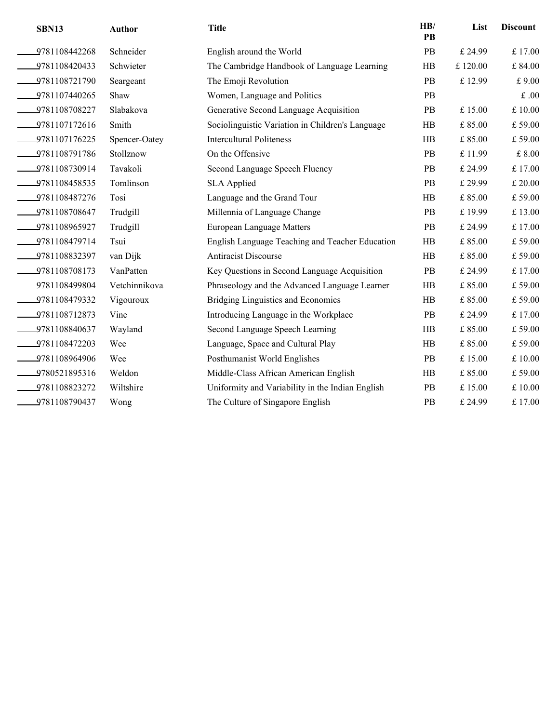| <b>SBN13</b>     | <b>Author</b> | <b>Title</b>                                     | HB/<br>PB | List    | <b>Discount</b> |
|------------------|---------------|--------------------------------------------------|-----------|---------|-----------------|
| 9781108442268    | Schneider     | English around the World                         | PB        | £ 24.99 | £17.00          |
| 9781108420433    | Schwieter     | The Cambridge Handbook of Language Learning      | HB        | £120.00 | £84.00          |
| 9781108721790    | Seargeant     | The Emoji Revolution                             | PB        | £ 12.99 | £9.00           |
| 9781107440265    | Shaw          | Women, Language and Politics                     | PB        |         | $\pounds.00$    |
| 9781108708227    | Slabakova     | Generative Second Language Acquisition           | PB        | £15.00  | £10.00          |
| 9781107172616    | Smith         | Sociolinguistic Variation in Children's Language | HB        | £85.00  | £59.00          |
| 9781107176225    | Spencer-Oatey | <b>Intercultural Politeness</b>                  | HB        | £85.00  | £59.00          |
| $-9781108791786$ | Stollznow     | On the Offensive                                 | PB        | £11.99  | £8.00           |
| 9781108730914    | Tavakoli      | Second Language Speech Fluency                   | PB        | £ 24.99 | £17.00          |
| 9781108458535    | Tomlinson     | <b>SLA Applied</b>                               | PB        | £ 29.99 | £ 20.00         |
| $-9781108487276$ | Tosi          | Language and the Grand Tour                      | HB        | £85.00  | £59.00          |
| 9781108708647    | Trudgill      | Millennia of Language Change                     | <b>PB</b> | £19.99  | £13.00          |
| 9781108965927    | Trudgill      | European Language Matters                        | PB        | £ 24.99 | £17.00          |
| 9781108479714    | Tsui          | English Language Teaching and Teacher Education  | HB        | £85.00  | £59.00          |
| 9781108832397    | van Dijk      | <b>Antiracist Discourse</b>                      | HB        | £85.00  | £59.00          |
| 9781108708173    | VanPatten     | Key Questions in Second Language Acquisition     | PB        | £ 24.99 | £17.00          |
| 9781108499804    | Vetchinnikova | Phraseology and the Advanced Language Learner    | HB        | £85.00  | £59.00          |
| 9781108479332    | Vigouroux     | <b>Bridging Linguistics and Economics</b>        | HB        | £ 85.00 | £59.00          |
| 9781108712873    | Vine          | Introducing Language in the Workplace            | PB        | £ 24.99 | £17.00          |
| 9781108840637    | Wayland       | Second Language Speech Learning                  | HB        | £85.00  | £59.00          |
| 9781108472203    | Wee           | Language, Space and Cultural Play                | HB        | £ 85.00 | £59.00          |
| 9781108964906    | Wee           | Posthumanist World Englishes                     | PB        | £15.00  | £10.00          |
| 9780521895316    | Weldon        | Middle-Class African American English            | HB        | £85.00  | £59.00          |
| 9781108823272    | Wiltshire     | Uniformity and Variability in the Indian English | PB        | £15.00  | £ 10.00         |
| 9781108790437    | Wong          | The Culture of Singapore English                 | PB        | £ 24.99 | £17.00          |